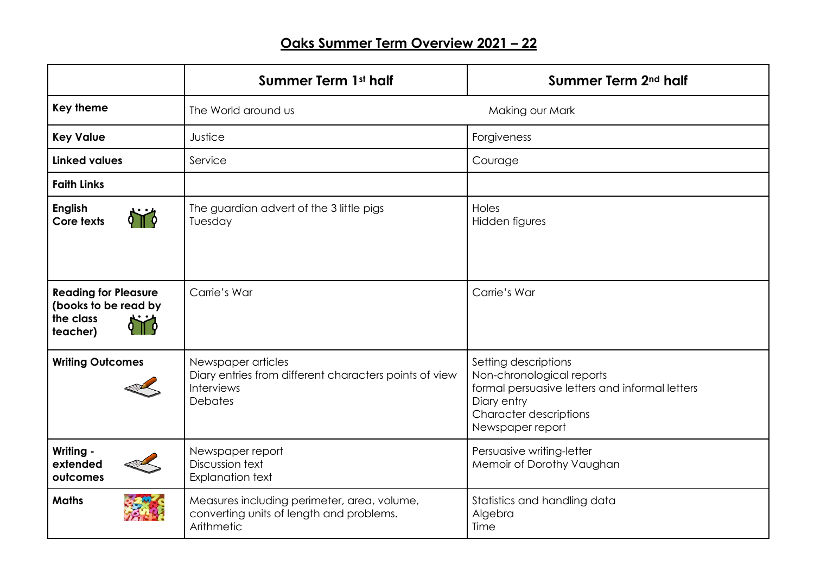## **Oaks Summer Term Overview 2021 – 22**

|                                                                              | Summer Term 1st half                                                                                                | Summer Term 2 <sup>nd</sup> half                                                                                                                                        |
|------------------------------------------------------------------------------|---------------------------------------------------------------------------------------------------------------------|-------------------------------------------------------------------------------------------------------------------------------------------------------------------------|
| <b>Key theme</b>                                                             | The World around us                                                                                                 | Making our Mark                                                                                                                                                         |
| <b>Key Value</b>                                                             | Justice                                                                                                             | Forgiveness                                                                                                                                                             |
| <b>Linked values</b>                                                         | Service                                                                                                             | Courage                                                                                                                                                                 |
| <b>Faith Links</b>                                                           |                                                                                                                     |                                                                                                                                                                         |
| <b>English</b><br>Core texts                                                 | The guardian advert of the 3 little pigs<br>Tuesday                                                                 | Holes<br>Hidden figures                                                                                                                                                 |
| <b>Reading for Pleasure</b><br>(books to be read by<br>the class<br>teacher) | Carrie's War                                                                                                        | Carrie's War                                                                                                                                                            |
| <b>Writing Outcomes</b>                                                      | Newspaper articles<br>Diary entries from different characters points of view<br><b>Interviews</b><br><b>Debates</b> | Setting descriptions<br>Non-chronological reports<br>formal persuasive letters and informal letters<br>Diary entry<br><b>Character descriptions</b><br>Newspaper report |
| Writing -<br>extended<br>outcomes                                            | Newspaper report<br>Discussion text<br><b>Explanation text</b>                                                      | Persuasive writing-letter<br>Memoir of Dorothy Vaughan                                                                                                                  |
| <b>Maths</b>                                                                 | Measures including perimeter, area, volume,<br>converting units of length and problems.<br>Arithmetic               | Statistics and handling data<br>Algebra<br>Time                                                                                                                         |